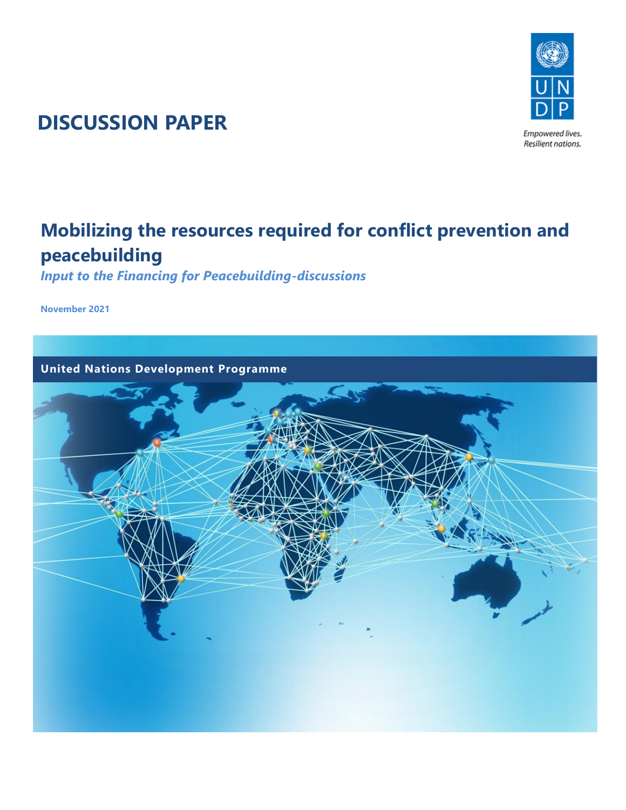

# **DISCUSSION PAPER**

# **Mobilizing the resources required for conflict prevention and peacebuilding**

*Input to the Financing for Peacebuilding-discussions*

**November 2021**

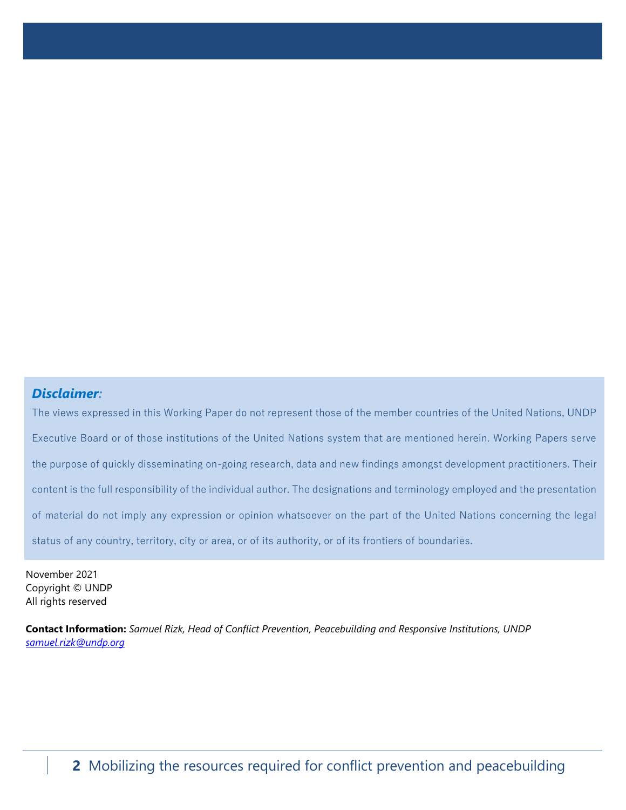#### *Disclaimer:*

The views expressed in this Working Paper do not represent those of the member countries of the United Nations, UNDP Executive Board or of those institutions of the United Nations system that are mentioned herein. Working Papers serve the purpose of quickly disseminating on-going research, data and new findings amongst development practitioners. Their content is the full responsibility of the individual author. The designations and terminology employed and the presentation of material do not imply any expression or opinion whatsoever on the part of the United Nations concerning the legal status of any country, territory, city or area, or of its authority, or of its frontiers of boundaries.

November 2021 Copyright © UNDP All rights reserved

**Contact Information:** *Samuel Rizk, Head of Conflict Prevention, Peacebuilding and Responsive Institutions, UNDP [samuel.rizk@undp.org](mailto:samuel.rizk@undp.org)*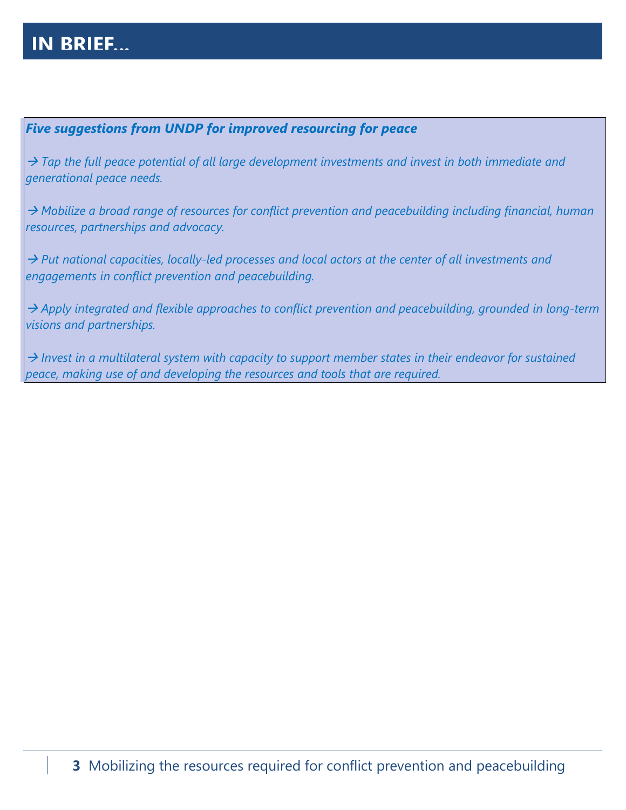## **IN BRIEF...**

## *Five suggestions from UNDP for improved resourcing for peace*

→ *Tap the full peace potential of all large development investments and invest in both immediate and generational peace needs.*

→ *Mobilize a broad range of resources for conflict prevention and peacebuilding including financial, human resources, partnerships and advocacy.*

→ *Put national capacities, locally-led processes and local actors at the center of all investments and engagements in conflict prevention and peacebuilding.*

→ *Apply integrated and flexible approaches to conflict prevention and peacebuilding, grounded in long-term visions and partnerships.*

→ *Invest in a multilateral system with capacity to support member states in their endeavor for sustained peace, making use of and developing the resources and tools that are required.*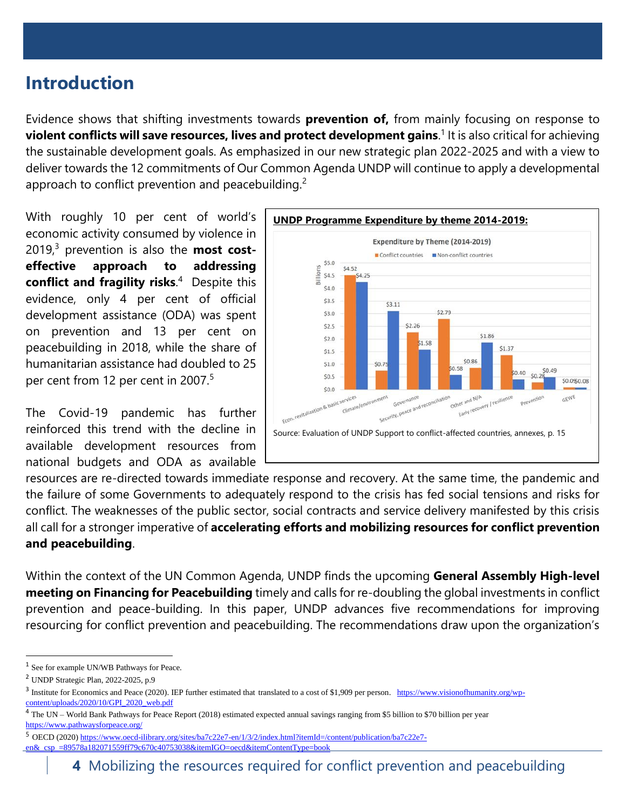## **Introduction**

Evidence shows that shifting investments towards **prevention of,** from mainly focusing on response to **violent conflicts will save resources, lives and protect development gains**. 1 It is also critical for achieving the sustainable development goals. As emphasized in our new strategic plan 2022-2025 and with a view to deliver towards the 12 commitments of Our Common Agenda UNDP will continue to apply a developmental approach to conflict prevention and peacebuilding.<sup>2</sup>

With roughly 10 per cent of world's economic activity consumed by violence in 2019, <sup>3</sup> prevention is also the **most costeffective approach to addressing conflict and fragility risks**. 4 Despite this evidence, only 4 per cent of official development assistance (ODA) was spent on prevention and 13 per cent on peacebuilding in 2018, while the share of humanitarian assistance had doubled to 25 per cent from 12 per cent in 2007.<sup>5</sup>

The Covid-19 pandemic has further reinforced this trend with the decline in available development resources from national budgets and ODA as available



resources are re-directed towards immediate response and recovery. At the same time, the pandemic and the failure of some Governments to adequately respond to the crisis has fed social tensions and risks for conflict. The weaknesses of the public sector, social contracts and service delivery manifested by this crisis all call for a stronger imperative of **accelerating efforts and mobilizing resources for conflict prevention and peacebuilding**.

Within the context of the UN Common Agenda, UNDP finds the upcoming **General Assembly High-level meeting on Financing for Peacebuilding** timely and calls for re-doubling the global investments in conflict prevention and peace-building. In this paper, UNDP advances five recommendations for improving resourcing for conflict prevention and peacebuilding. The recommendations draw upon the organization's

<sup>&</sup>lt;sup>1</sup> See for example UN/WB Pathways for Peace.

<sup>2</sup> UNDP Strategic Plan, 2022-2025, p.9

<sup>&</sup>lt;sup>3</sup> Institute for Economics and Peace (2020). IEP further estimated that translated to a cost of \$1,909 per person. [https://www.visionofhumanity.org/wp](https://www.visionofhumanity.org/wp-content/uploads/2020/10/GPI_2020_web.pdf)[content/uploads/2020/10/GPI\\_2020\\_web.pdf](https://www.visionofhumanity.org/wp-content/uploads/2020/10/GPI_2020_web.pdf)

<sup>4</sup> The UN – World Bank Pathways for Peace Report (2018) estimated expected annual savings ranging from \$5 billion to \$70 billion per year <https://www.pathwaysforpeace.org/>

<sup>5</sup> OECD (2020[\) https://www.oecd-ilibrary.org/sites/ba7c22e7-en/1/3/2/index.html?itemId=/content/publication/ba7c22e7-](https://www.oecd-ilibrary.org/sites/ba7c22e7-en/1/3/2/index.html?itemId=/content/publication/ba7c22e7-en&_csp_=89578a182071559ff79c670c40753038&itemIGO=oecd&itemContentType=book)

[en&\\_csp\\_=89578a182071559ff79c670c40753038&itemIGO=oecd&itemContentType=book](https://www.oecd-ilibrary.org/sites/ba7c22e7-en/1/3/2/index.html?itemId=/content/publication/ba7c22e7-en&_csp_=89578a182071559ff79c670c40753038&itemIGO=oecd&itemContentType=book)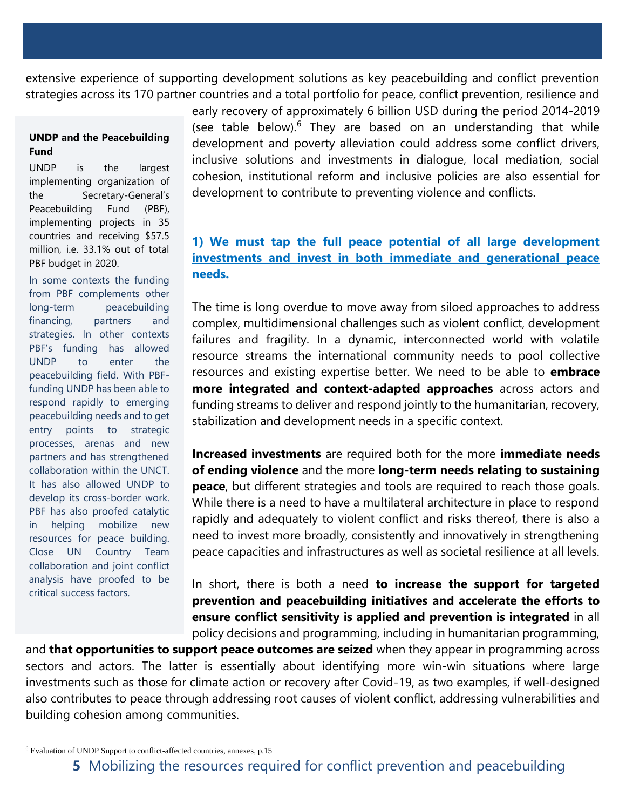extensive experience of supporting development solutions as key peacebuilding and conflict prevention strategies across its 170 partner countries and a total portfolio for peace, conflict prevention, resilience and

#### **UNDP and the Peacebuilding Fund**

UNDP is the largest implementing organization of the Secretary-General's Peacebuilding Fund (PBF), implementing projects in 35 countries and receiving \$57.5 million, i.e. 33.1% out of total PBF budget in 2020.

In some contexts the funding from PBF complements other long-term peacebuilding financing, partners and strategies. In other contexts PBF's funding has allowed UNDP to enter the peacebuilding field. With PBFfunding UNDP has been able to respond rapidly to emerging peacebuilding needs and to get entry points to strategic processes, arenas and new partners and has strengthened collaboration within the UNCT. It has also allowed UNDP to develop its cross-border work. PBF has also proofed catalytic in helping mobilize new resources for peace building. Close UN Country Team collaboration and joint conflict analysis have proofed to be critical success factors.

early recovery of approximately 6 billion USD during the period 2014-2019 (see table below). $6$  They are based on an understanding that while development and poverty alleviation could address some conflict drivers, inclusive solutions and investments in dialogue, local mediation, social cohesion, institutional reform and inclusive policies are also essential for development to contribute to preventing violence and conflicts.

## **1) We must tap the full peace potential of all large development investments and invest in both immediate and generational peace needs.**

The time is long overdue to move away from siloed approaches to address complex, multidimensional challenges such as violent conflict, development failures and fragility. In a dynamic, interconnected world with volatile resource streams the international community needs to pool collective resources and existing expertise better. We need to be able to **embrace more integrated and context-adapted approaches** across actors and funding streams to deliver and respond jointly to the humanitarian, recovery, stabilization and development needs in a specific context.

**Increased investments** are required both for the more **immediate needs of ending violence** and the more **long-term needs relating to sustaining peace**, but different strategies and tools are required to reach those goals. While there is a need to have a multilateral architecture in place to respond rapidly and adequately to violent conflict and risks thereof, there is also a need to invest more broadly, consistently and innovatively in strengthening peace capacities and infrastructures as well as societal resilience at all levels.

In short, there is both a need **to increase the support for targeted prevention and peacebuilding initiatives and accelerate the efforts to ensure conflict sensitivity is applied and prevention is integrated** in all policy decisions and programming, including in humanitarian programming,

and **that opportunities to support peace outcomes are seized** when they appear in programming across sectors and actors. The latter is essentially about identifying more win-win situations where large investments such as those for climate action or recovery after Covid-19, as two examples, if well-designed also contributes to peace through addressing root causes of violent conflict, addressing vulnerabilities and building cohesion among communities.

 $-6$  Evaluation of UNDP Support to conflict-affected countries, annexes, p.15

**<sup>5</sup>** Mobilizing the resources required for conflict prevention and peacebuilding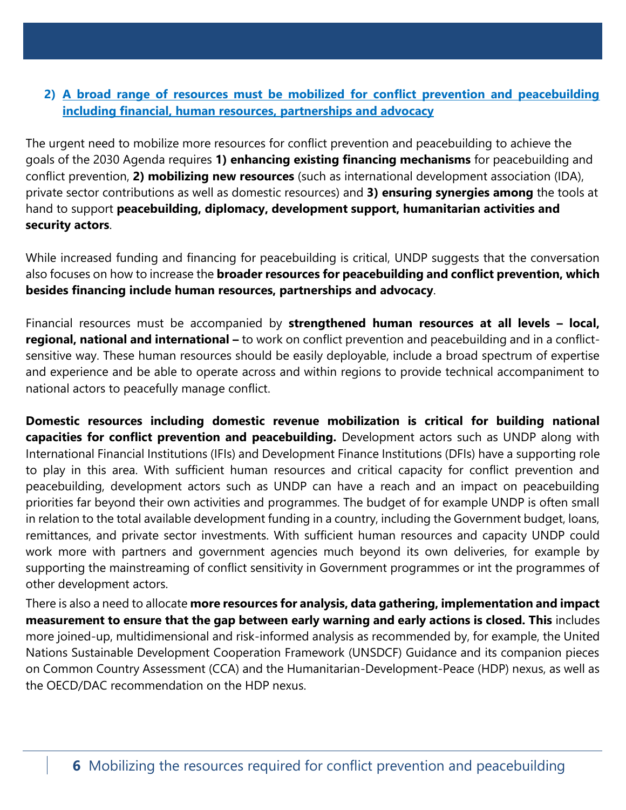## **2) A broad range of resources must be mobilized for conflict prevention and peacebuilding including financial, human resources, partnerships and advocacy**

The urgent need to mobilize more resources for conflict prevention and peacebuilding to achieve the goals of the 2030 Agenda requires **1) enhancing existing financing mechanisms** for peacebuilding and conflict prevention, **2) mobilizing new resources** (such as international development association (IDA), private sector contributions as well as domestic resources) and **3) ensuring synergies among** the tools at hand to support **peacebuilding, diplomacy, development support, humanitarian activities and security actors**.

While increased funding and financing for peacebuilding is critical, UNDP suggests that the conversation also focuses on how to increase the **broader resources for peacebuilding and conflict prevention, which besides financing include human resources, partnerships and advocacy**.

Financial resources must be accompanied by **strengthened human resources at all levels – local, regional, national and international –** to work on conflict prevention and peacebuilding and in a conflictsensitive way. These human resources should be easily deployable, include a broad spectrum of expertise and experience and be able to operate across and within regions to provide technical accompaniment to national actors to peacefully manage conflict.

**Domestic resources including domestic revenue mobilization is critical for building national capacities for conflict prevention and peacebuilding.** Development actors such as UNDP along with International Financial Institutions (IFIs) and Development Finance Institutions (DFIs) have a supporting role to play in this area. With sufficient human resources and critical capacity for conflict prevention and peacebuilding, development actors such as UNDP can have a reach and an impact on peacebuilding priorities far beyond their own activities and programmes. The budget of for example UNDP is often small in relation to the total available development funding in a country, including the Government budget, loans, remittances, and private sector investments. With sufficient human resources and capacity UNDP could work more with partners and government agencies much beyond its own deliveries, for example by supporting the mainstreaming of conflict sensitivity in Government programmes or int the programmes of other development actors.

There is also a need to allocate **more resources for analysis, data gathering, implementation and impact measurement to ensure that the gap between early warning and early actions is closed. This** includes more joined-up, multidimensional and risk-informed analysis as recommended by, for example, the United Nations Sustainable Development Cooperation Framework (UNSDCF) Guidance and its companion pieces on Common Country Assessment (CCA) and the Humanitarian-Development-Peace (HDP) nexus, as well as the OECD/DAC recommendation on the HDP nexus.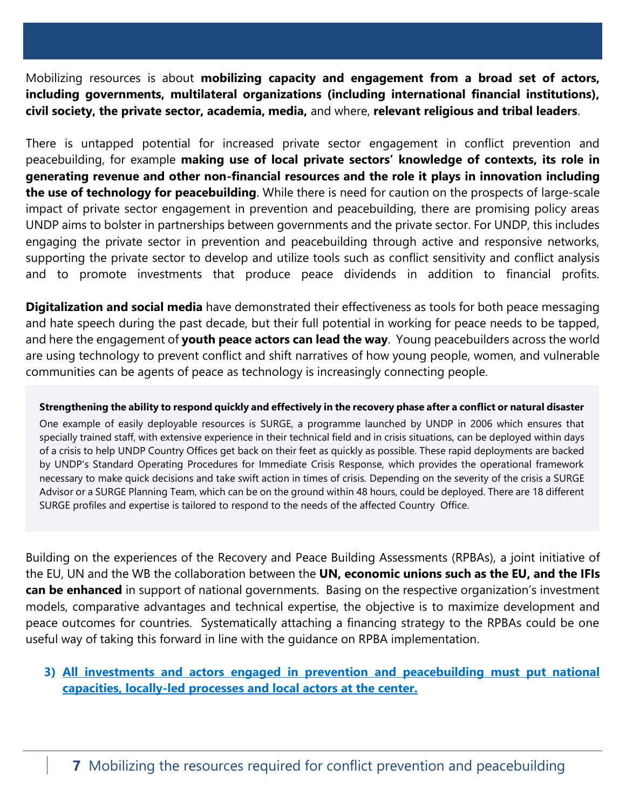Mobilizing resources is about **mobilizing capacity and engagement from a broad set of actors, including governments, multilateral organizations (including international financial institutions), civil society, the private sector, academia, media,** and where, **relevant religious and tribal leaders**.

There is untapped potential for increased private sector engagement in conflict prevention and peacebuilding, for example **making use of local private sectors' knowledge of contexts, its role in generating revenue and other non-financial resources and the role it plays in innovation including the use of technology for peacebuilding**. While there is need for caution on the prospects of large-scale impact of private sector engagement in prevention and peacebuilding, there are promising policy areas UNDP aims to bolster in partnerships between governments and the private sector. For UNDP, this includes engaging the private sector in prevention and peacebuilding through active and responsive networks, supporting the private sector to develop and utilize tools such as conflict sensitivity and conflict analysis and to promote investments that produce peace dividends in addition to financial profits.

**Digitalization and social media** have demonstrated their effectiveness as tools for both peace messaging and hate speech during the past decade, but their full potential in working for peace needs to be tapped, and here the engagement of **youth peace actors can lead the way**. Young peacebuilders across the world are using technology to prevent conflict and shift narratives of how young people, women, and vulnerable communities can be agents of peace as technology is increasingly connecting people.

#### **Strengthening the ability to respond quickly and effectively in the recovery phase after a conflict or natural disaster**

One example of easily deployable resources is SURGE, a programme launched by UNDP in 2006 which ensures that specially trained staff, with extensive experience in their technical field and in crisis situations, can be deployed within days of a crisis to help UNDP Country Offices get back on their feet as quickly as possible. These rapid deployments are backed by UNDP's Standard Operating Procedures for Immediate Crisis Response, which provides the operational framework necessary to make quick decisions and take swift action in times of crisis. Depending on the severity of the crisis a SURGE Advisor or a SURGE Planning Team, which can be on the ground within 48 hours, could be deployed. There are 18 different SURGE profiles and expertise is tailored to respond to the needs of the affected Country Office.

Building on the experiences of the Recovery and Peace Building Assessments (RPBAs), a joint initiative of the EU, UN and the WB the collaboration between the **UN, economic unions such as the EU, and the IFIs can be enhanced** in support of national governments. Basing on the respective organization's investment models, comparative advantages and technical expertise, the objective is to maximize development and peace outcomes for countries. Systematically attaching a financing strategy to the RPBAs could be one useful way of taking this forward in line with the guidance on RPBA implementation.

## **3) All investments and actors engaged in prevention and peacebuilding must put national capacities, locally-led processes and local actors at the center.**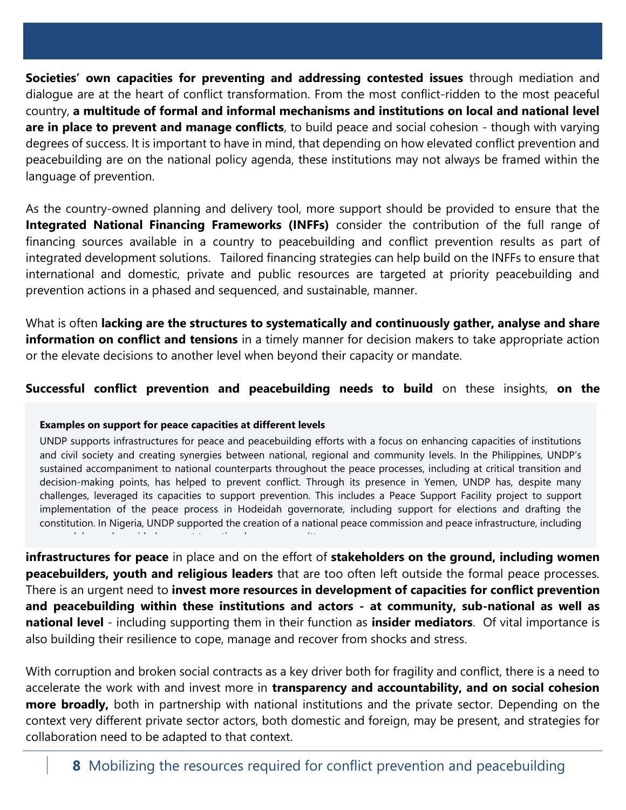**Societies' own capacities for preventing and addressing contested issues** through mediation and dialogue are at the heart of conflict transformation. From the most conflict-ridden to the most peaceful country, **a multitude of formal and informal mechanisms and institutions on local and national level are in place to prevent and manage conflicts**, to build peace and social cohesion - though with varying degrees of success. It is important to have in mind, that depending on how elevated conflict prevention and peacebuilding are on the national policy agenda, these institutions may not always be framed within the language of prevention.

As the country-owned planning and delivery tool, more support should be provided to ensure that the **Integrated National Financing Frameworks (INFFs)** consider the contribution of the full range of financing sources available in a country to peacebuilding and conflict prevention results as part of integrated development solutions. Tailored financing strategies can help build on the INFFs to ensure that international and domestic, private and public resources are targeted at priority peacebuilding and prevention actions in a phased and sequenced, and sustainable, manner.

What is often **lacking are the structures to systematically and continuously gather, analyse and share information on conflict and tensions** in a timely manner for decision makers to take appropriate action or the elevate decisions to another level when beyond their capacity or mandate.

### **Successful conflict prevention and peacebuilding needs to build** on these insights, **on the**

#### **Examples on support for peace capacities at different levels**

UNDP supports infrastructures for peace and peacebuilding efforts with a focus on enhancing capacities of institutions and civil society and creating synergies between national, regional and community levels. In the Philippines, UNDP's sustained accompaniment to national counterparts throughout the peace processes, including at critical transition and decision-making points, has helped to prevent conflict. Through its presence in Yemen, UNDP has, despite many challenges, leveraged its capacities to support prevention. This includes a Peace Support Facility project to support implementation of the peace process in Hodeidah governorate, including support for elections and drafting the constitution. In Nigeria, UNDP supported the creation of a national peace commission and peace infrastructure, including peace clubs, and provided support to national peace committees.

**infrastructures for peace** in place and on the effort of **stakeholders on the ground, including women peacebuilders, youth and religious leaders** that are too often left outside the formal peace processes. There is an urgent need to **invest more resources in development of capacities for conflict prevention and peacebuilding within these institutions and actors - at community, sub-national as well as national level** - including supporting them in their function as **insider mediators**. Of vital importance is also building their resilience to cope, manage and recover from shocks and stress.

With corruption and broken social contracts as a key driver both for fragility and conflict, there is a need to accelerate the work with and invest more in **transparency and accountability, and on social cohesion more broadly,** both in partnership with national institutions and the private sector. Depending on the context very different private sector actors, both domestic and foreign, may be present, and strategies for collaboration need to be adapted to that context.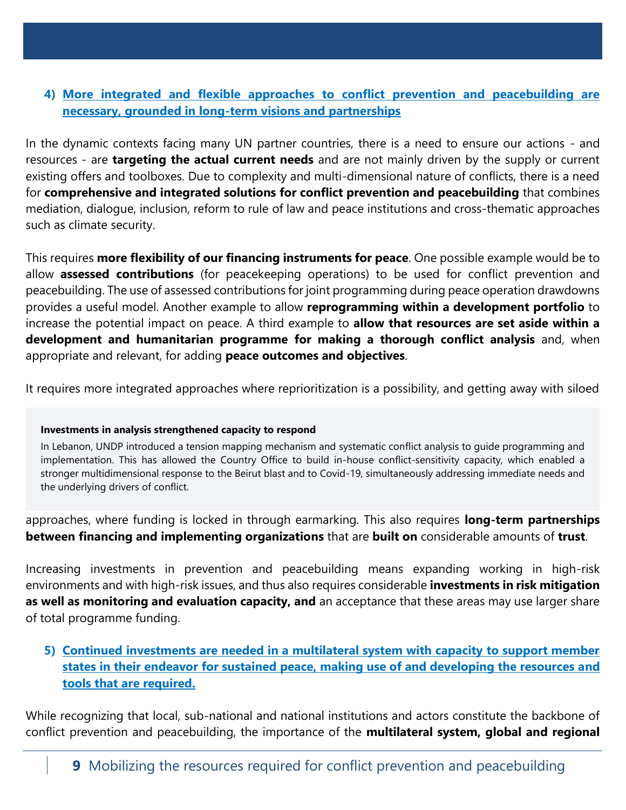## **4) More integrated and flexible approaches to conflict prevention and peacebuilding are necessary, grounded in long-term visions and partnerships**

In the dynamic contexts facing many UN partner countries, there is a need to ensure our actions - and resources - are **targeting the actual current needs** and are not mainly driven by the supply or current existing offers and toolboxes. Due to complexity and multi-dimensional nature of conflicts, there is a need for **comprehensive and integrated solutions for conflict prevention and peacebuilding** that combines mediation, dialogue, inclusion, reform to rule of law and peace institutions and cross-thematic approaches such as climate security.

This requires **more flexibility of our financing instruments for peace**. One possible example would be to allow **assessed contributions** (for peacekeeping operations) to be used for conflict prevention and peacebuilding. The use of assessed contributions for joint programming during peace operation drawdowns provides a useful model. Another example to allow **reprogramming within a development portfolio** to increase the potential impact on peace. A third example to **allow that resources are set aside within a development and humanitarian programme for making a thorough conflict analysis** and, when appropriate and relevant, for adding **peace outcomes and objectives**.

It requires more integrated approaches where reprioritization is a possibility, and getting away with siloed

#### **Investments in analysis strengthened capacity to respond**

In Lebanon, UNDP introduced a tension mapping mechanism and systematic conflict analysis to guide programming and implementation. This has allowed the Country Office to build in-house conflict-sensitivity capacity, which enabled a stronger multidimensional response to the Beirut blast and to Covid-19, simultaneously addressing immediate needs and the underlying drivers of conflict.

approaches, where funding is locked in through earmarking. This also requires **long-term partnerships between financing and implementing organizations** that are **built on** considerable amounts of **trust**.

Increasing investments in prevention and peacebuilding means expanding working in high-risk environments and with high-risk issues, and thus also requires considerable **investments in risk mitigation as well as monitoring and evaluation capacity, and** an acceptance that these areas may use larger share of total programme funding.

**5) Continued investments are needed in a multilateral system with capacity to support member states in their endeavor for sustained peace, making use of and developing the resources and tools that are required.** 

While recognizing that local, sub-national and national institutions and actors constitute the backbone of conflict prevention and peacebuilding, the importance of the **multilateral system, global and regional**